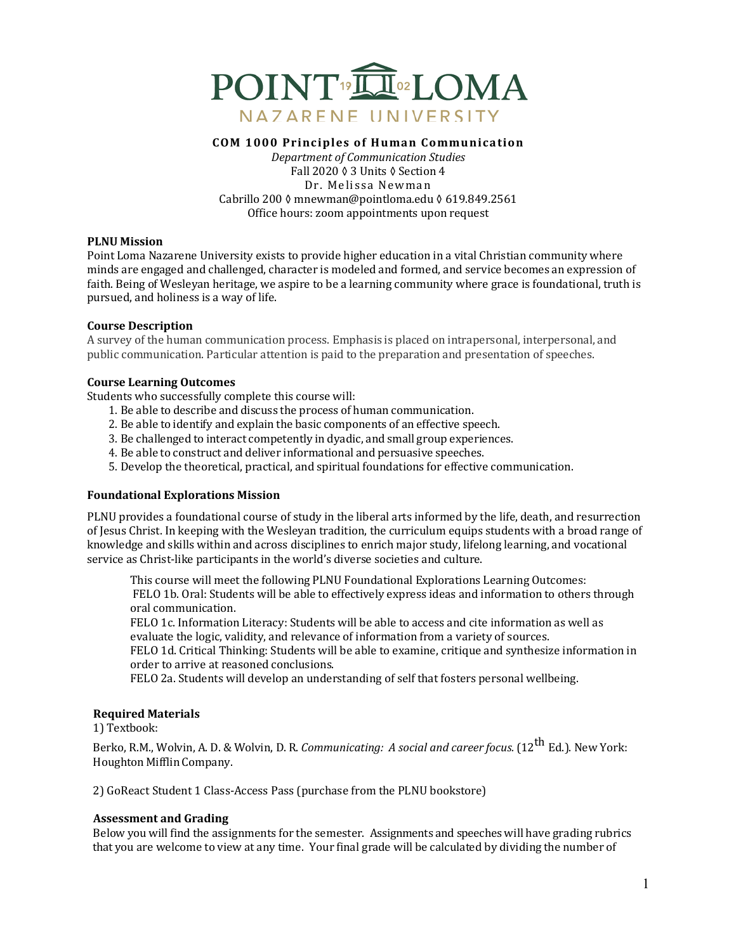

#### **COM 1000 Principles of Human Communication**

*Department of Communication Studies* Fall 2020 ♦ 3 Units ♦ Section 4 Dr. Melissa Newman Cabrillo 200 ◊ mnewman@pointloma.edu ◊ 619.849.2561 Office hours: zoom appointments upon request

#### **PLNU Mission**

Point Loma Nazarene University exists to provide higher education in a vital Christian community where minds are engaged and challenged, character is modeled and formed, and service becomes an expression of faith. Being of Wesleyan heritage, we aspire to be a learning community where grace is foundational, truth is pursued, and holiness is a way of life.

#### **Course Description**

A survey of the human communication process. Emphasis is placed on intrapersonal, interpersonal, and public communication. Particular attention is paid to the preparation and presentation of speeches.

#### **Course Learning Outcomes**

Students who successfully complete this course will:

- 1. Be able to describe and discuss the process of human communication.
- 2. Be able to identify and explain the basic components of an effective speech.
- 3. Be challenged to interact competently in dyadic, and small group experiences.
- 4. Be able to construct and deliver informational and persuasive speeches.
- 5. Develop the theoretical, practical, and spiritual foundations for effective communication.

## **Foundational Explorations Mission**

PLNU provides a foundational course of study in the liberal arts informed by the life, death, and resurrection of Jesus Christ. In keeping with the Wesleyan tradition, the curriculum equips students with a broad range of knowledge and skills within and across disciplines to enrich major study, lifelong learning, and vocational service as Christ-like participants in the world's diverse societies and culture.

This course will meet the following PLNU Foundational Explorations Learning Outcomes: FELO 1b. Oral: Students will be able to effectively express ideas and information to others through oral communication.

FELO 1c. Information Literacy: Students will be able to access and cite information as well as evaluate the logic, validity, and relevance of information from a variety of sources.

FELO 1d. Critical Thinking: Students will be able to examine, critique and synthesize information in order to arrive at reasoned conclusions.

FELO 2a. Students will develop an understanding of self that fosters personal wellbeing.

## **Required Materials**

1) Textbook:

Berko, R.M., Wolvin, A.D. & Wolvin, D. R. *Communicating: A social and career focus.* (12<sup>th</sup> Ed.). New York: Houghton MifflinCompany.

2) GoReact Student 1 Class-Access Pass (purchase from the PLNU bookstore)

## **Assessment and Grading**

Below you will find the assignments for the semester. Assignments and speeches will have grading rubrics that you are welcome to view at any time. Your final grade will be calculated by dividing the number of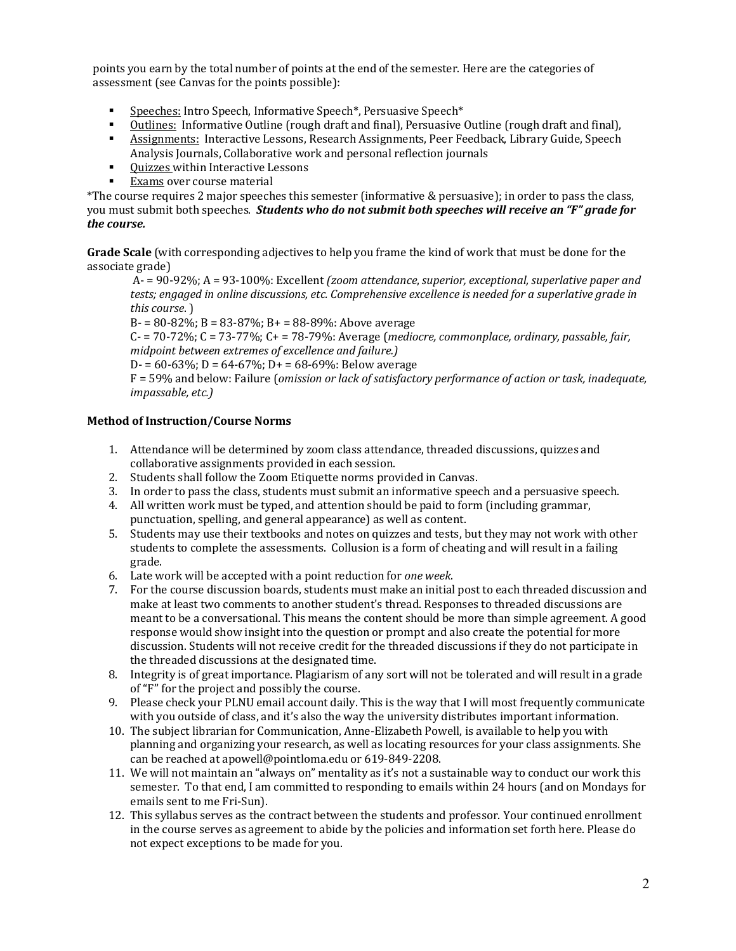points you earn by the total number of points at the end of the semester. Here are the categories of assessment (see Canvas for the points possible):

- Speeches: Intro Speech, Informative Speech\*, Persuasive Speech\*
- Outlines: Informative Outline (rough draft and final), Persuasive Outline (rough draft and final),
- Assignments: Interactive Lessons, Research Assignments, Peer Feedback, Library Guide, Speech Analysis Journals, Collaborative work and personal reflection journals
- Ouizzes within Interactive Lessons
- Exams over course material

\*The course requires 2 major speeches this semester (informative & persuasive); in order to pass the class, you must submit both speeches. *Students who do not submit both speeches will receive an "F" grade for the course.*

**Grade Scale** (with corresponding adjectives to help you frame the kind of work that must be done for the associate grade)

A- = 90-92%; A = 93-100%: Excellent *(zoom attendance, superior, exceptional, superlative paper and tests; engaged in online discussions, etc. Comprehensive excellence is needed for a superlative grade in this course*. )

B- = 80-82%; B = 83-87%; B+ = 88-89%: Above average

 $C - 70-72\%$ ;  $C = 73-77\%$ ;  $C + 78-79\%$ : Average (*mediocre, commonplace, ordinary, passable, fair, midpoint between extremes of excellence and failure.)* 

D- =  $60-63\%$ ; D =  $64-67\%$ ; D+ =  $68-69\%$ : Below average

F = 59% and below: Failure (*omission or lack of satisfactory performance of action or task, inadequate, impassable, etc.)*

## **Method of Instruction/Course Norms**

- 1. Attendance will be determined by zoom class attendance, threaded discussions, quizzes and collaborative assignments provided in each session.
- 2. Students shall follow the Zoom Etiquette norms provided in Canvas.
- 3. In order to pass the class, students must submit an informative speech and a persuasive speech.
- 4. All written work must be typed, and attention should be paid to form (including grammar, punctuation, spelling, and general appearance) as well as content.
- 5. Students may use their textbooks and notes on quizzes and tests, but they may not work with other students to complete the assessments. Collusion is a form of cheating and will result in a failing grade.
- 6. Late work will be accepted with a point reduction for *one week*.
- 7. For the course discussion boards, students must make an initial post to each threaded discussion and make at least two comments to another student's thread. Responses to threaded discussions are meant to be a conversational. This means the content should be more than simple agreement. A good response would show insight into the question or prompt and also create the potential for more discussion. Students will not receive credit for the threaded discussions if they do not participate in the threaded discussions at the designated time.
- 8. Integrity is of great importance. Plagiarism of any sort will not be tolerated and will result in a grade of "F" for the project and possibly the course.
- 9. Please check your PLNU email account daily. This is the way that I will most frequently communicate with you outside of class, and it's also the way the university distributes important information.
- 10. The subject librarian for Communication, Anne-Elizabeth Powell, is available to help you with planning and organizing your research, as well as locating resources for your class assignments. She can be reached at apowell@pointloma.edu or 619-849-2208.
- 11. We will not maintain an "always on" mentality as it's not a sustainable way to conduct our work this semester. To that end, I am committed to responding to emails within 24 hours (and on Mondays for emails sent to me Fri-Sun).
- 12. This syllabus serves as the contract between the students and professor. Your continued enrollment in the course serves as agreement to abide by the policies and information set forth here. Please do not expect exceptions to be made for you.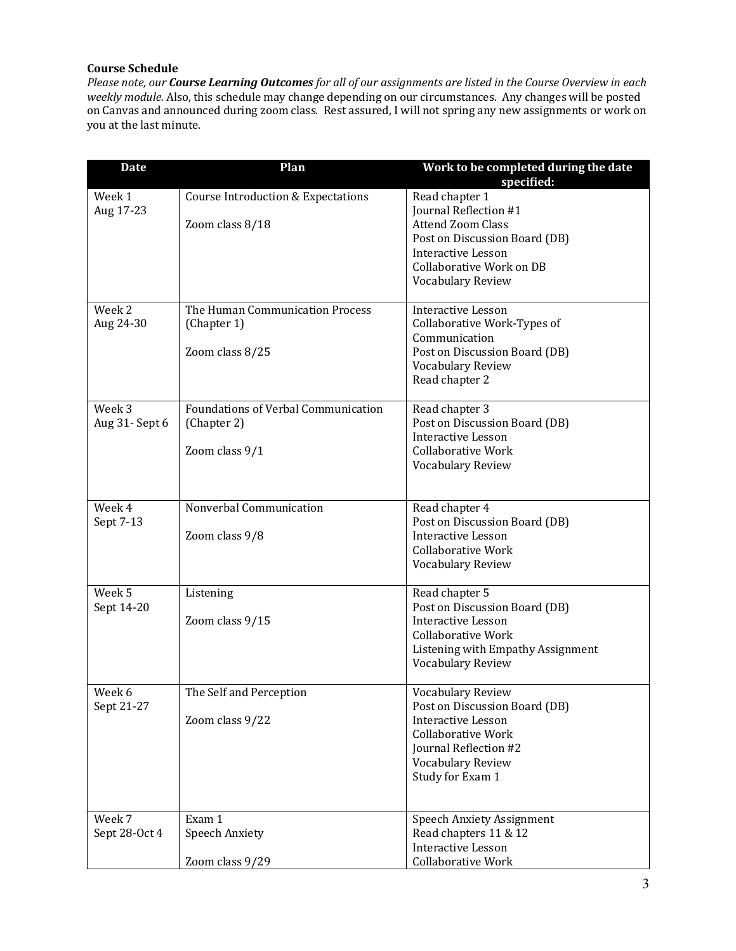# **Course Schedule**

*Please note, our Course Learning Outcomes for all of our assignments are listed in the Course Overview in each* weekly module. Also, this schedule may change depending on our circumstances. Any changes will be posted on Canvas and announced during zoom class. Rest assured, I will not spring any new assignments or work on you at the last minute.

| <b>Date</b>              | Plan                                                                 | Work to be completed during the date<br>specified:                                                                                                                                        |
|--------------------------|----------------------------------------------------------------------|-------------------------------------------------------------------------------------------------------------------------------------------------------------------------------------------|
| Week 1<br>Aug 17-23      | <b>Course Introduction &amp; Expectations</b><br>Zoom class 8/18     | Read chapter 1<br>Journal Reflection #1<br><b>Attend Zoom Class</b><br>Post on Discussion Board (DB)<br><b>Interactive Lesson</b><br>Collaborative Work on DB<br><b>Vocabulary Review</b> |
| Week 2<br>Aug 24-30      | The Human Communication Process<br>(Chapter 1)<br>Zoom class 8/25    | <b>Interactive Lesson</b><br>Collaborative Work-Types of<br>Communication<br>Post on Discussion Board (DB)<br>Vocabulary Review<br>Read chapter 2                                         |
| Week 3<br>Aug 31- Sept 6 | Foundations of Verbal Communication<br>(Chapter 2)<br>Zoom class 9/1 | Read chapter 3<br>Post on Discussion Board (DB)<br><b>Interactive Lesson</b><br><b>Collaborative Work</b><br><b>Vocabulary Review</b>                                                     |
| Week 4<br>Sept 7-13      | Nonverbal Communication<br>Zoom class 9/8                            | Read chapter 4<br>Post on Discussion Board (DB)<br><b>Interactive Lesson</b><br><b>Collaborative Work</b><br>Vocabulary Review                                                            |
| Week 5<br>Sept 14-20     | Listening<br>Zoom class 9/15                                         | Read chapter 5<br>Post on Discussion Board (DB)<br><b>Interactive Lesson</b><br><b>Collaborative Work</b><br>Listening with Empathy Assignment<br>Vocabulary Review                       |
| Week 6<br>Sept 21-27     | The Self and Perception<br>Zoom class 9/22                           | <b>Vocabulary Review</b><br>Post on Discussion Board (DB)<br><b>Interactive Lesson</b><br><b>Collaborative Work</b><br>Journal Reflection #2<br>Vocabulary Review<br>Study for Exam 1     |
| Week 7<br>Sept 28-Oct 4  | Exam 1<br><b>Speech Anxiety</b><br>Zoom class 9/29                   | <b>Speech Anxiety Assignment</b><br>Read chapters 11 & 12<br><b>Interactive Lesson</b><br>Collaborative Work                                                                              |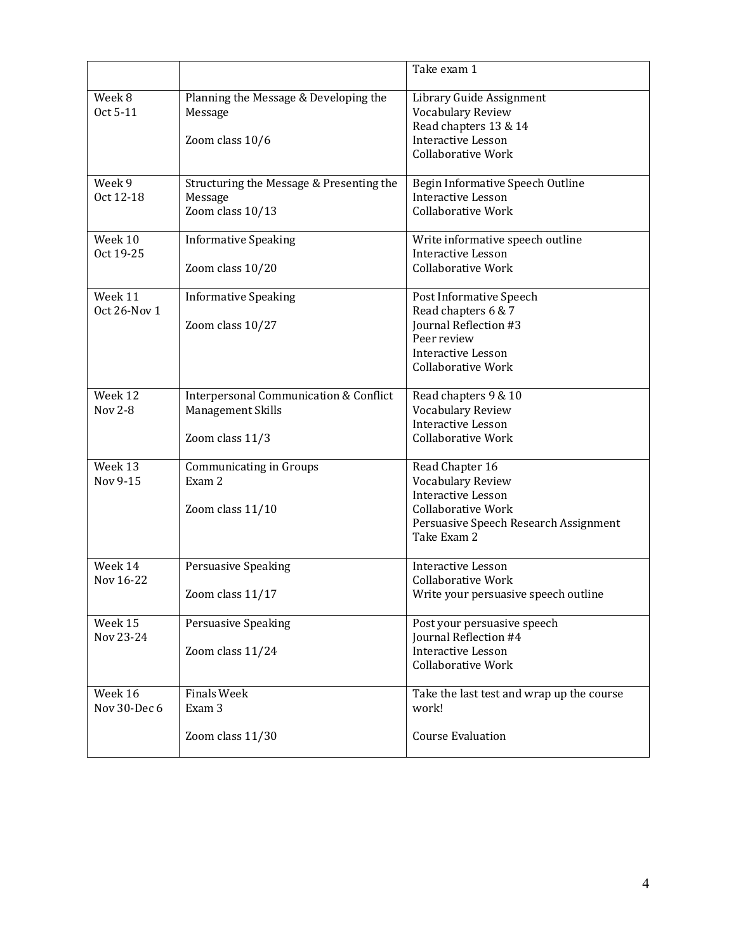|                         |                                                                                           | Take exam 1                                                                                                                                            |
|-------------------------|-------------------------------------------------------------------------------------------|--------------------------------------------------------------------------------------------------------------------------------------------------------|
| Week 8<br>Oct 5-11      | Planning the Message & Developing the<br>Message<br>Zoom class 10/6                       | Library Guide Assignment<br>Vocabulary Review<br>Read chapters 13 & 14<br><b>Interactive Lesson</b>                                                    |
|                         |                                                                                           | <b>Collaborative Work</b>                                                                                                                              |
| Week 9<br>Oct 12-18     | Structuring the Message & Presenting the<br>Message<br>Zoom class 10/13                   | Begin Informative Speech Outline<br><b>Interactive Lesson</b><br><b>Collaborative Work</b>                                                             |
| Week 10<br>Oct 19-25    | <b>Informative Speaking</b><br>Zoom class 10/20                                           | Write informative speech outline<br><b>Interactive Lesson</b><br><b>Collaborative Work</b>                                                             |
| Week 11<br>Oct 26-Nov 1 | <b>Informative Speaking</b><br>Zoom class 10/27                                           | Post Informative Speech<br>Read chapters 6 & 7<br>Journal Reflection #3<br>Peer review<br>Interactive Lesson<br><b>Collaborative Work</b>              |
| Week 12<br>Nov 2-8      | <b>Interpersonal Communication &amp; Conflict</b><br>Management Skills<br>Zoom class 11/3 | Read chapters 9 & 10<br><b>Vocabulary Review</b><br><b>Interactive Lesson</b><br><b>Collaborative Work</b>                                             |
| Week 13<br>Nov 9-15     | <b>Communicating in Groups</b><br>Exam 2<br>Zoom class 11/10                              | Read Chapter 16<br>Vocabulary Review<br><b>Interactive Lesson</b><br><b>Collaborative Work</b><br>Persuasive Speech Research Assignment<br>Take Exam 2 |
| Week 14<br>Nov 16-22    | Persuasive Speaking<br>Zoom class 11/17                                                   | <b>Interactive Lesson</b><br><b>Collaborative Work</b><br>Write your persuasive speech outline                                                         |
| Week 15<br>Nov 23-24    | Persuasive Speaking<br>Zoom class 11/24                                                   | Post your persuasive speech<br>Journal Reflection #4<br><b>Interactive Lesson</b><br><b>Collaborative Work</b>                                         |
| Week 16<br>Nov 30-Dec 6 | <b>Finals Week</b><br>Exam 3                                                              | Take the last test and wrap up the course<br>work!                                                                                                     |
|                         | Zoom class 11/30                                                                          | <b>Course Evaluation</b>                                                                                                                               |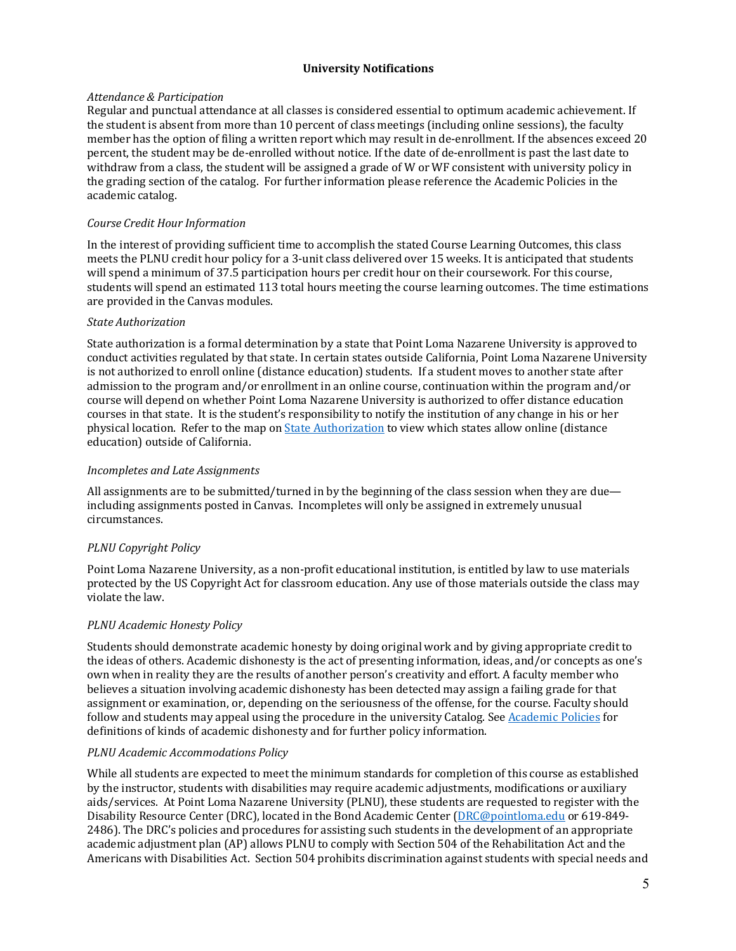## **University Notifications**

## *Attendance & Participation*

Regular and punctual attendance at all classes is considered essential to optimum academic achievement. If the student is absent from more than 10 percent of class meetings (including online sessions), the faculty member has the option of filing a written report which may result in de-enrollment. If the absences exceed 20 percent, the student may be de-enrolled without notice. If the date of de-enrollment is past the last date to withdraw from a class, the student will be assigned a grade of W or WF consistent with university policy in the grading section of the catalog. For further information please reference the Academic Policies in the academic catalog.

## *Course Credit Hour Information*

In the interest of providing sufficient time to accomplish the stated Course Learning Outcomes, this class meets the PLNU credit hour policy for a 3-unit class delivered over 15 weeks. It is anticipated that students will spend a minimum of 37.5 participation hours per credit hour on their coursework. For this course, students will spend an estimated 113 total hours meeting the course learning outcomes. The time estimations are provided in the Canvas modules.

## *State Authorization*

State authorization is a formal determination by a state that Point Loma Nazarene University is approved to conduct activities regulated by that state. In certain states outside California, Point Loma Nazarene University is not authorized to enroll online (distance education) students. If a student moves to another state after admission to the program and/or enrollment in an online course, continuation within the program and/or course will depend on whether Point Loma Nazarene University is authorized to offer distance education courses in that state. It is the student's responsibility to notify the institution of any change in his or her physical location. Refer to the map on State Authorization to view which states allow online (distance education) outside of California.

# *Incompletes and Late Assignments*

All assignments are to be submitted/turned in by the beginning of the class session when they are due including assignments posted in Canvas. Incompletes will only be assigned in extremely unusual circumstances.

# *PLNU Copyright Policy*

Point Loma Nazarene University, as a non-profit educational institution, is entitled by law to use materials protected by the US Copyright Act for classroom education. Any use of those materials outside the class may violate the law.

# *PLNU Academic Honesty Policy*

Students should demonstrate academic honesty by doing original work and by giving appropriate credit to the ideas of others. Academic dishonesty is the act of presenting information, ideas, and/or concepts as one's own when in reality they are the results of another person's creativity and effort. A faculty member who believes a situation involving academic dishonesty has been detected may assign a failing grade for that assignment or examination, or, depending on the seriousness of the offense, for the course. Faculty should follow and students may appeal using the procedure in the university Catalog. See Academic Policies for definitions of kinds of academic dishonesty and for further policy information.

## *PLNU Academic Accommodations Policy*

While all students are expected to meet the minimum standards for completion of this course as established by the instructor, students with disabilities may require academic adjustments, modifications or auxiliary aids/services. At Point Loma Nazarene University (PLNU), these students are requested to register with the Disability Resource Center (DRC), located in the Bond Academic Center (DRC@pointloma.edu or 619-849-2486). The DRC's policies and procedures for assisting such students in the development of an appropriate academic adjustment plan (AP) allows PLNU to comply with Section 504 of the Rehabilitation Act and the Americans with Disabilities Act. Section 504 prohibits discrimination against students with special needs and